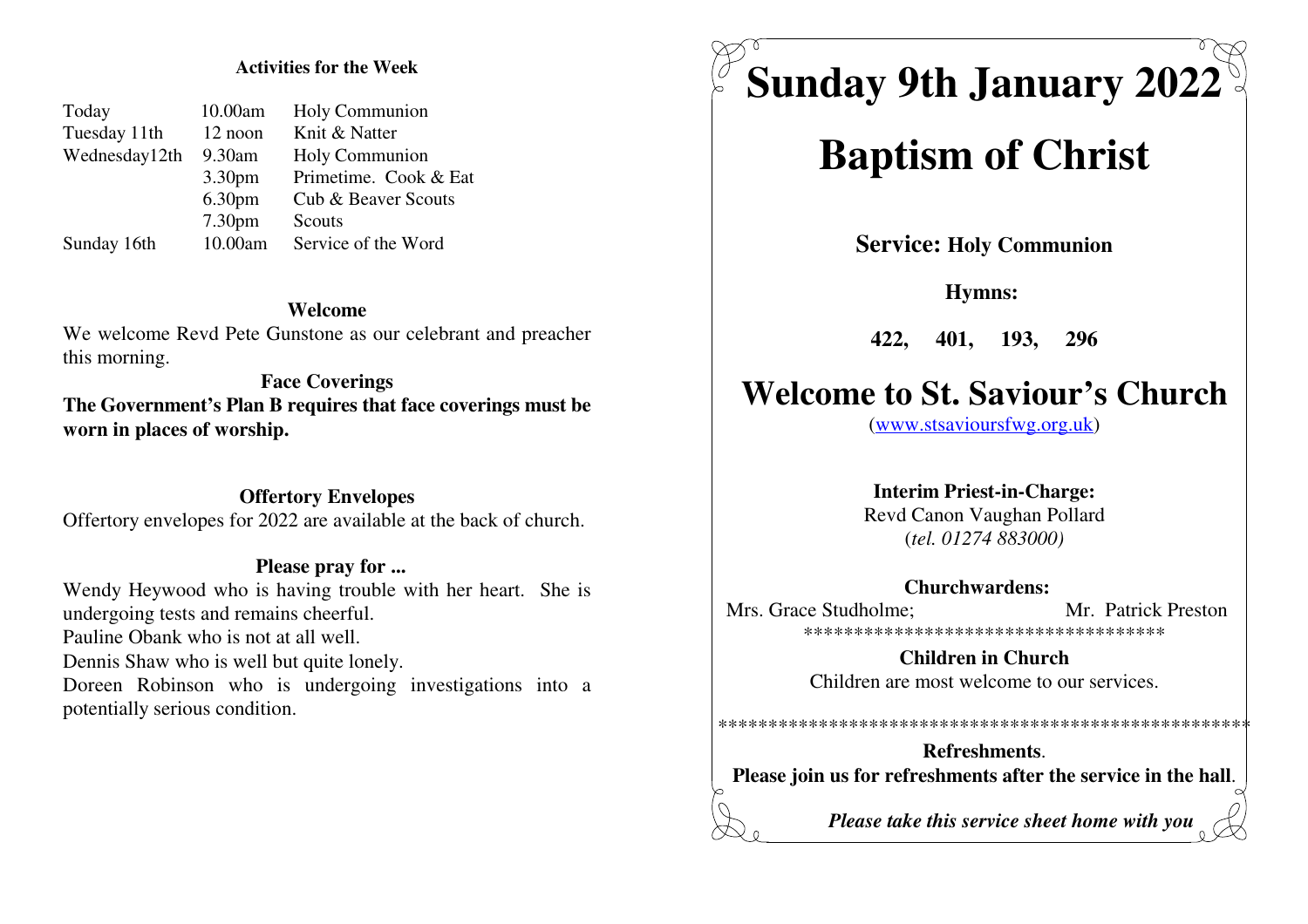#### **Activities for the Week**

| Today         | 10.00am            | Holy Communion        |
|---------------|--------------------|-----------------------|
| Tuesday 11th  | 12 noon            | Knit & Natter         |
| Wednesday12th | 9.30am             | Holy Communion        |
|               | 3.30 <sub>pm</sub> | Primetime. Cook & Eat |
|               | 6.30 <sub>pm</sub> | Cub & Beaver Scouts   |
|               | 7.30 <sub>pm</sub> | Scouts                |
| Sunday 16th   | 10.00am            | Service of the Word   |
|               |                    |                       |

#### **Welcome**

 We welcome Revd Pete Gunstone as our celebrant and preacherthis morning.

**Face Coverings The Government's Plan B requires that face coverings must beworn in places of worship.**

**Offertory Envelopes**Offertory envelopes for 2022 are available at the back of church.

#### **Please pray for ...**

 Wendy Heywood who is having trouble with her heart. She isundergoing tests and remains cheerful.Pauline Obank who is not at all well.Dennis Shaw who is well but quite lonely.Doreen Robinson who is undergoing investigations into a

potentially serious condition.

# **Sunday 9th January 2022**

# **Baptism of Christ**

**Service: Holy Communion**

**Hymns:** 

**422, 401, 193, 296**

## **Welcome to St. Saviour's Church**

(www.stsavioursfwg.org.uk)

#### **Interim Priest-in-Charge:**

 Revd Canon Vaughan Pollard(*tel. 01274 883000)*

**Churchwardens:** 

Mrs. Grace Studholme: Mr. Patrick Preston \*\*\*\*\*\*\*\*\*\*\*\*\*\*\*\*\*\*\*\*\*\*\*\*\*\*\*\*\*\*\*\*\*\*\*\*

> **Children in Church**Children are most welcome to our services.

**Refreshments**.**Please join us for refreshments after the service in the hall**.

\*\*\*\*\*\*\*\*\*\*\*\*\*\*\*\*\*\*\*\*\*\*\*\*\*\*\*\*\*\*\*\*\*\*\*\*\*\*\*\*\*\*\*\*\*\*\*\*\*\*\*\*\*

*Please take this service sheet home with you*